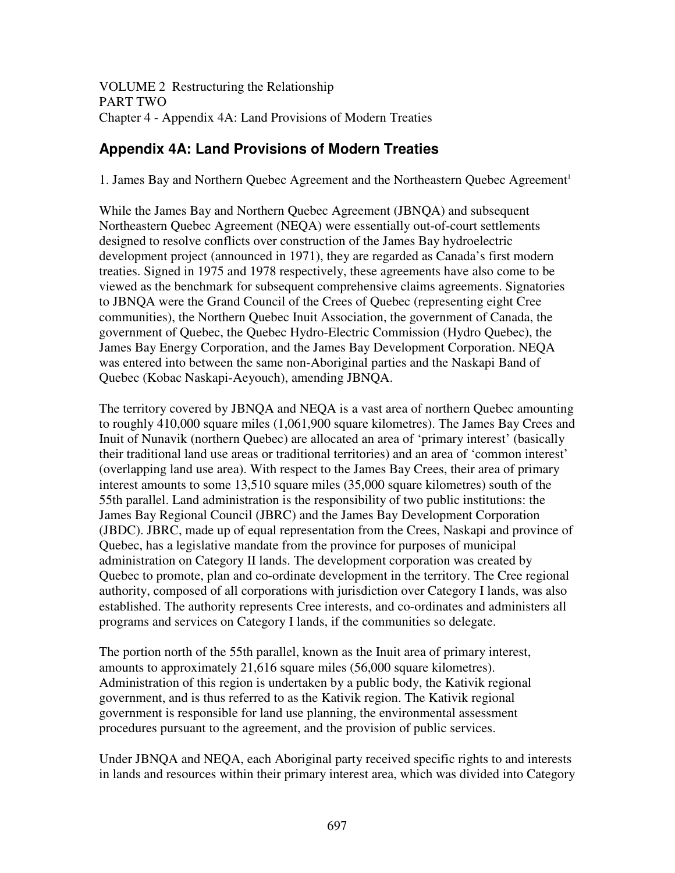VOLUME 2 Restructuring the Relationship PART TWO Chapter 4 - Appendix 4A: Land Provisions of Modern Treaties

# **Appendix 4A: Land Provisions of Modern Treaties**

1. James Bay and Northern Quebec Agreement and the Northeastern Quebec Agreement 1

While the James Bay and Northern Quebec Agreement (JBNQA) and subsequent Northeastern Quebec Agreement (NEQA) were essentially out-of-court settlements designed to resolve conflicts over construction of the James Bay hydroelectric development project (announced in 1971), they are regarded as Canada's first modern treaties. Signed in 1975 and 1978 respectively, these agreements have also come to be viewed as the benchmark for subsequent comprehensive claims agreements. Signatories to JBNQA were the Grand Council of the Crees of Quebec (representing eight Cree communities), the Northern Quebec Inuit Association, the government of Canada, the government of Quebec, the Quebec Hydro-Electric Commission (Hydro Quebec), the James Bay Energy Corporation, and the James Bay Development Corporation. NEQA was entered into between the same non-Aboriginal parties and the Naskapi Band of Quebec (Kobac Naskapi-Aeyouch), amending JBNQA.

The territory covered by JBNQA and NEQA is a vast area of northern Quebec amounting to roughly 410,000 square miles (1,061,900 square kilometres). The James Bay Crees and Inuit of Nunavik (northern Quebec) are allocated an area of 'primary interest' (basically their traditional land use areas or traditional territories) and an area of 'common interest' (overlapping land use area). With respect to the James Bay Crees, their area of primary interest amounts to some 13,510 square miles (35,000 square kilometres) south of the 55th parallel. Land administration is the responsibility of two public institutions: the James Bay Regional Council (JBRC) and the James Bay Development Corporation (JBDC). JBRC, made up of equal representation from the Crees, Naskapi and province of Quebec, has a legislative mandate from the province for purposes of municipal administration on Category II lands. The development corporation was created by Quebec to promote, plan and co-ordinate development in the territory. The Cree regional authority, composed of all corporations with jurisdiction over Category I lands, was also established. The authority represents Cree interests, and co-ordinates and administers all programs and services on Category I lands, if the communities so delegate.

The portion north of the 55th parallel, known as the Inuit area of primary interest, amounts to approximately 21,616 square miles (56,000 square kilometres). Administration of this region is undertaken by a public body, the Kativik regional government, and is thus referred to as the Kativik region. The Kativik regional government is responsible for land use planning, the environmental assessment procedures pursuant to the agreement, and the provision of public services.

Under JBNQA and NEQA, each Aboriginal party received specific rights to and interests in lands and resources within their primary interest area, which was divided into Category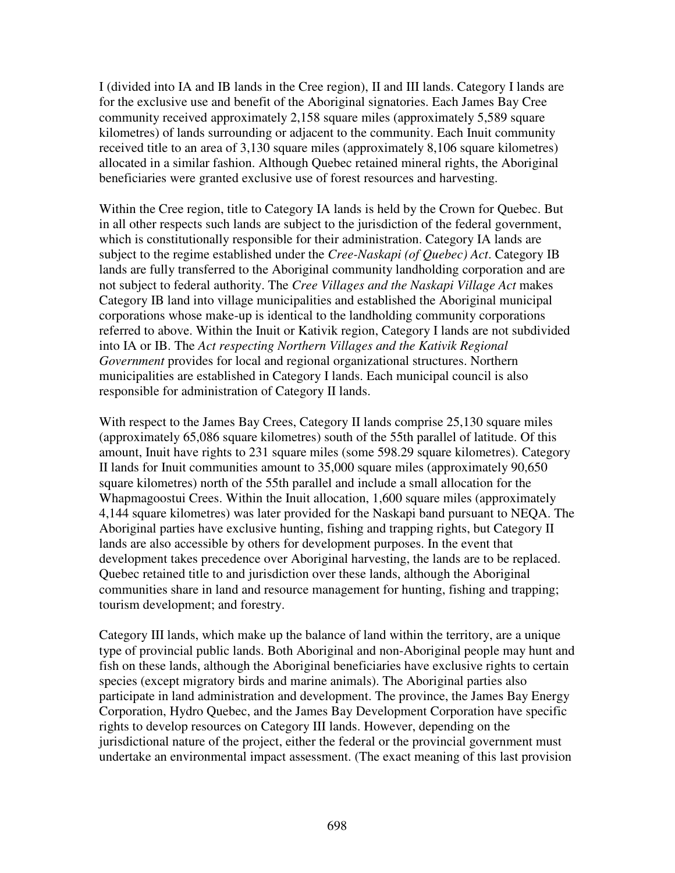I (divided into IA and IB lands in the Cree region), II and III lands. Category I lands are for the exclusive use and benefit of the Aboriginal signatories. Each James Bay Cree community received approximately 2,158 square miles (approximately 5,589 square kilometres) of lands surrounding or adjacent to the community. Each Inuit community received title to an area of 3,130 square miles (approximately 8,106 square kilometres) allocated in a similar fashion. Although Quebec retained mineral rights, the Aboriginal beneficiaries were granted exclusive use of forest resources and harvesting.

Within the Cree region, title to Category IA lands is held by the Crown for Quebec. But in all other respects such lands are subject to the jurisdiction of the federal government, which is constitutionally responsible for their administration. Category IA lands are subject to the regime established under the *Cree-Naskapi (of Quebec) Act*. Category IB lands are fully transferred to the Aboriginal community landholding corporation and are not subject to federal authority. The *Cree Villages and the Naskapi Village Act* makes Category IB land into village municipalities and established the Aboriginal municipal corporations whose make-up is identical to the landholding community corporations referred to above. Within the Inuit or Kativik region, Category I lands are not subdivided into IA or IB. The *Act respecting Northern Villages and the Kativik Regional Government* provides for local and regional organizational structures. Northern municipalities are established in Category I lands. Each municipal council is also responsible for administration of Category II lands.

With respect to the James Bay Crees, Category II lands comprise 25,130 square miles (approximately 65,086 square kilometres) south of the 55th parallel of latitude. Of this amount, Inuit have rights to 231 square miles (some 598.29 square kilometres). Category II lands for Inuit communities amount to 35,000 square miles (approximately 90,650 square kilometres) north of the 55th parallel and include a small allocation for the Whapmagoostui Crees. Within the Inuit allocation, 1,600 square miles (approximately 4,144 square kilometres) was later provided for the Naskapi band pursuant to NEQA. The Aboriginal parties have exclusive hunting, fishing and trapping rights, but Category II lands are also accessible by others for development purposes. In the event that development takes precedence over Aboriginal harvesting, the lands are to be replaced. Quebec retained title to and jurisdiction over these lands, although the Aboriginal communities share in land and resource management for hunting, fishing and trapping; tourism development; and forestry.

Category III lands, which make up the balance of land within the territory, are a unique type of provincial public lands. Both Aboriginal and non-Aboriginal people may hunt and fish on these lands, although the Aboriginal beneficiaries have exclusive rights to certain species (except migratory birds and marine animals). The Aboriginal parties also participate in land administration and development. The province, the James Bay Energy Corporation, Hydro Quebec, and the James Bay Development Corporation have specific rights to develop resources on Category III lands. However, depending on the jurisdictional nature of the project, either the federal or the provincial government must undertake an environmental impact assessment. (The exact meaning of this last provision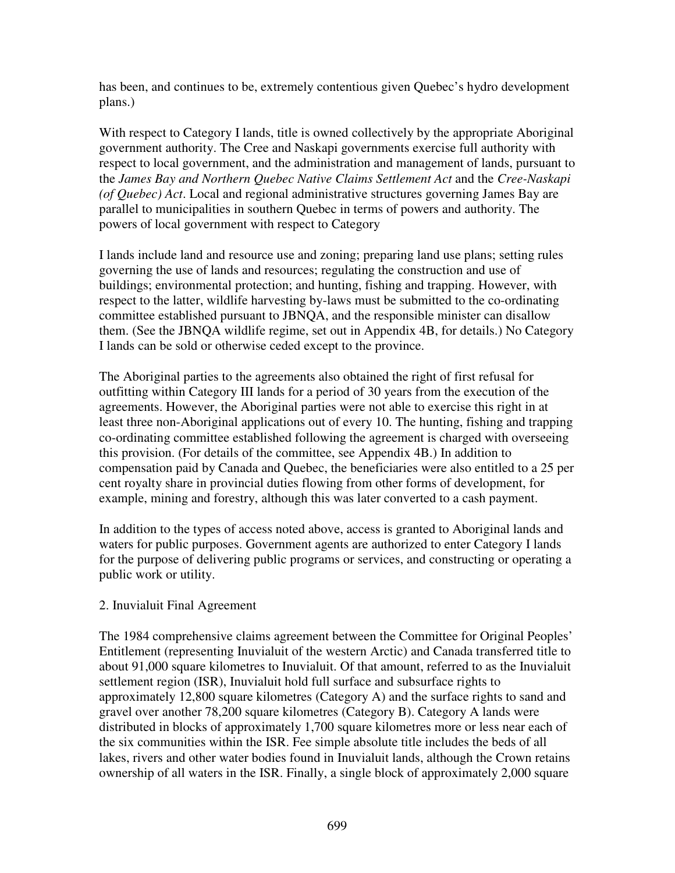has been, and continues to be, extremely contentious given Quebec's hydro development plans.)

With respect to Category I lands, title is owned collectively by the appropriate Aboriginal government authority. The Cree and Naskapi governments exercise full authority with respect to local government, and the administration and management of lands, pursuant to the *James Bay and Northern Quebec Native Claims Settlement Act* and the *Cree-Naskapi (of Quebec) Act*. Local and regional administrative structures governing James Bay are parallel to municipalities in southern Quebec in terms of powers and authority. The powers of local government with respect to Category

I lands include land and resource use and zoning; preparing land use plans; setting rules governing the use of lands and resources; regulating the construction and use of buildings; environmental protection; and hunting, fishing and trapping. However, with respect to the latter, wildlife harvesting by-laws must be submitted to the co-ordinating committee established pursuant to JBNQA, and the responsible minister can disallow them. (See the JBNQA wildlife regime, set out in Appendix 4B, for details.) No Category I lands can be sold or otherwise ceded except to the province.

The Aboriginal parties to the agreements also obtained the right of first refusal for outfitting within Category III lands for a period of 30 years from the execution of the agreements. However, the Aboriginal parties were not able to exercise this right in at least three non-Aboriginal applications out of every 10. The hunting, fishing and trapping co-ordinating committee established following the agreement is charged with overseeing this provision. (For details of the committee, see Appendix 4B.) In addition to compensation paid by Canada and Quebec, the beneficiaries were also entitled to a 25 per cent royalty share in provincial duties flowing from other forms of development, for example, mining and forestry, although this was later converted to a cash payment.

In addition to the types of access noted above, access is granted to Aboriginal lands and waters for public purposes. Government agents are authorized to enter Category I lands for the purpose of delivering public programs or services, and constructing or operating a public work or utility.

### 2. Inuvialuit Final Agreement

The 1984 comprehensive claims agreement between the Committee for Original Peoples' Entitlement (representing Inuvialuit of the western Arctic) and Canada transferred title to about 91,000 square kilometres to Inuvialuit. Of that amount, referred to as the Inuvialuit settlement region (ISR), Inuvialuit hold full surface and subsurface rights to approximately 12,800 square kilometres (Category A) and the surface rights to sand and gravel over another 78,200 square kilometres (Category B). Category A lands were distributed in blocks of approximately 1,700 square kilometres more or less near each of the six communities within the ISR. Fee simple absolute title includes the beds of all lakes, rivers and other water bodies found in Inuvialuit lands, although the Crown retains ownership of all waters in the ISR. Finally, a single block of approximately 2,000 square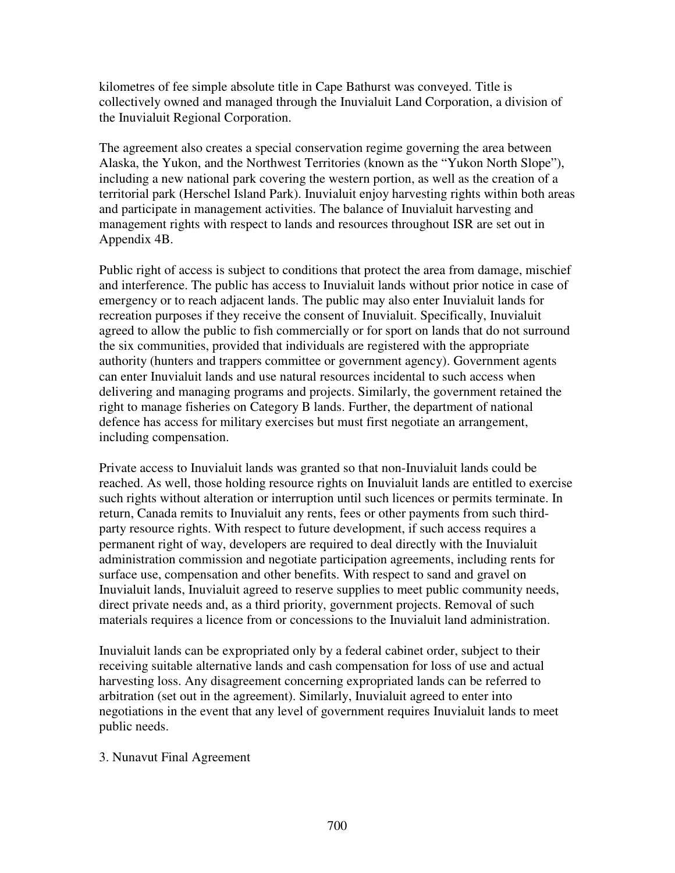kilometres of fee simple absolute title in Cape Bathurst was conveyed. Title is collectively owned and managed through the Inuvialuit Land Corporation, a division of the Inuvialuit Regional Corporation.

The agreement also creates a special conservation regime governing the area between Alaska, the Yukon, and the Northwest Territories (known as the "Yukon North Slope"), including a new national park covering the western portion, as well as the creation of a territorial park (Herschel Island Park). Inuvialuit enjoy harvesting rights within both areas and participate in management activities. The balance of Inuvialuit harvesting and management rights with respect to lands and resources throughout ISR are set out in Appendix 4B.

Public right of access is subject to conditions that protect the area from damage, mischief and interference. The public has access to Inuvialuit lands without prior notice in case of emergency or to reach adjacent lands. The public may also enter Inuvialuit lands for recreation purposes if they receive the consent of Inuvialuit. Specifically, Inuvialuit agreed to allow the public to fish commercially or for sport on lands that do not surround the six communities, provided that individuals are registered with the appropriate authority (hunters and trappers committee or government agency). Government agents can enter Inuvialuit lands and use natural resources incidental to such access when delivering and managing programs and projects. Similarly, the government retained the right to manage fisheries on Category B lands. Further, the department of national defence has access for military exercises but must first negotiate an arrangement, including compensation.

Private access to Inuvialuit lands was granted so that non-Inuvialuit lands could be reached. As well, those holding resource rights on Inuvialuit lands are entitled to exercise such rights without alteration or interruption until such licences or permits terminate. In return, Canada remits to Inuvialuit any rents, fees or other payments from such thirdparty resource rights. With respect to future development, if such access requires a permanent right of way, developers are required to deal directly with the Inuvialuit administration commission and negotiate participation agreements, including rents for surface use, compensation and other benefits. With respect to sand and gravel on Inuvialuit lands, Inuvialuit agreed to reserve supplies to meet public community needs, direct private needs and, as a third priority, government projects. Removal of such materials requires a licence from or concessions to the Inuvialuit land administration.

Inuvialuit lands can be expropriated only by a federal cabinet order, subject to their receiving suitable alternative lands and cash compensation for loss of use and actual harvesting loss. Any disagreement concerning expropriated lands can be referred to arbitration (set out in the agreement). Similarly, Inuvialuit agreed to enter into negotiations in the event that any level of government requires Inuvialuit lands to meet public needs.

#### 3. Nunavut Final Agreement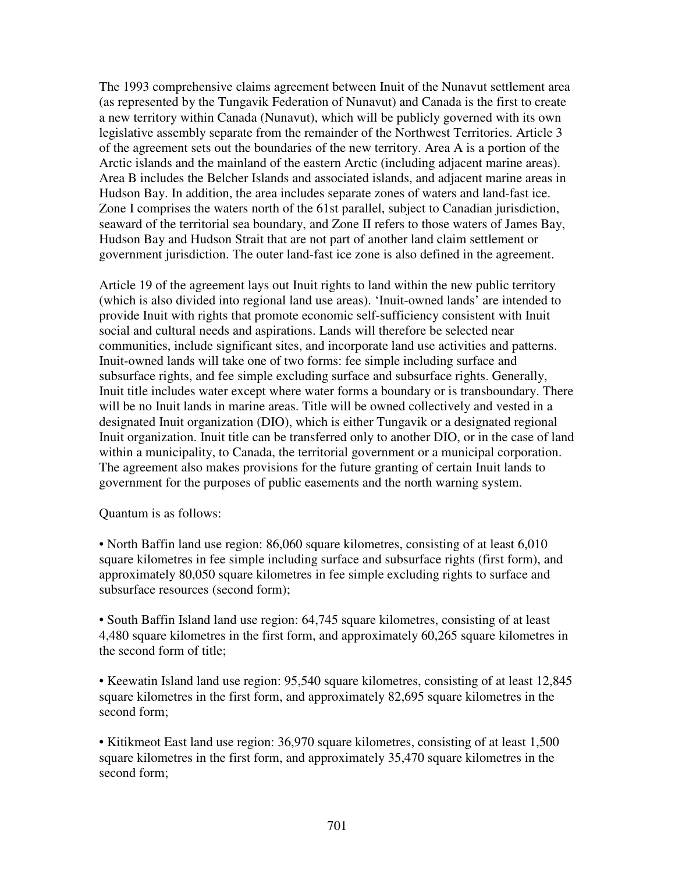The 1993 comprehensive claims agreement between Inuit of the Nunavut settlement area (as represented by the Tungavik Federation of Nunavut) and Canada is the first to create a new territory within Canada (Nunavut), which will be publicly governed with its own legislative assembly separate from the remainder of the Northwest Territories. Article 3 of the agreement sets out the boundaries of the new territory. Area A is a portion of the Arctic islands and the mainland of the eastern Arctic (including adjacent marine areas). Area B includes the Belcher Islands and associated islands, and adjacent marine areas in Hudson Bay. In addition, the area includes separate zones of waters and land-fast ice. Zone I comprises the waters north of the 61st parallel, subject to Canadian jurisdiction, seaward of the territorial sea boundary, and Zone II refers to those waters of James Bay, Hudson Bay and Hudson Strait that are not part of another land claim settlement or government jurisdiction. The outer land-fast ice zone is also defined in the agreement.

Article 19 of the agreement lays out Inuit rights to land within the new public territory (which is also divided into regional land use areas). 'Inuit-owned lands' are intended to provide Inuit with rights that promote economic self-sufficiency consistent with Inuit social and cultural needs and aspirations. Lands will therefore be selected near communities, include significant sites, and incorporate land use activities and patterns. Inuit-owned lands will take one of two forms: fee simple including surface and subsurface rights, and fee simple excluding surface and subsurface rights. Generally, Inuit title includes water except where water forms a boundary or is transboundary. There will be no Inuit lands in marine areas. Title will be owned collectively and vested in a designated Inuit organization (DIO), which is either Tungavik or a designated regional Inuit organization. Inuit title can be transferred only to another DIO, or in the case of land within a municipality, to Canada, the territorial government or a municipal corporation. The agreement also makes provisions for the future granting of certain Inuit lands to government for the purposes of public easements and the north warning system.

Quantum is as follows:

• North Baffin land use region: 86,060 square kilometres, consisting of at least 6,010 square kilometres in fee simple including surface and subsurface rights (first form), and approximately 80,050 square kilometres in fee simple excluding rights to surface and subsurface resources (second form);

• South Baffin Island land use region: 64,745 square kilometres, consisting of at least 4,480 square kilometres in the first form, and approximately 60,265 square kilometres in the second form of title;

• Keewatin Island land use region: 95,540 square kilometres, consisting of at least 12,845 square kilometres in the first form, and approximately 82,695 square kilometres in the second form;

• Kitikmeot East land use region: 36,970 square kilometres, consisting of at least 1,500 square kilometres in the first form, and approximately 35,470 square kilometres in the second form;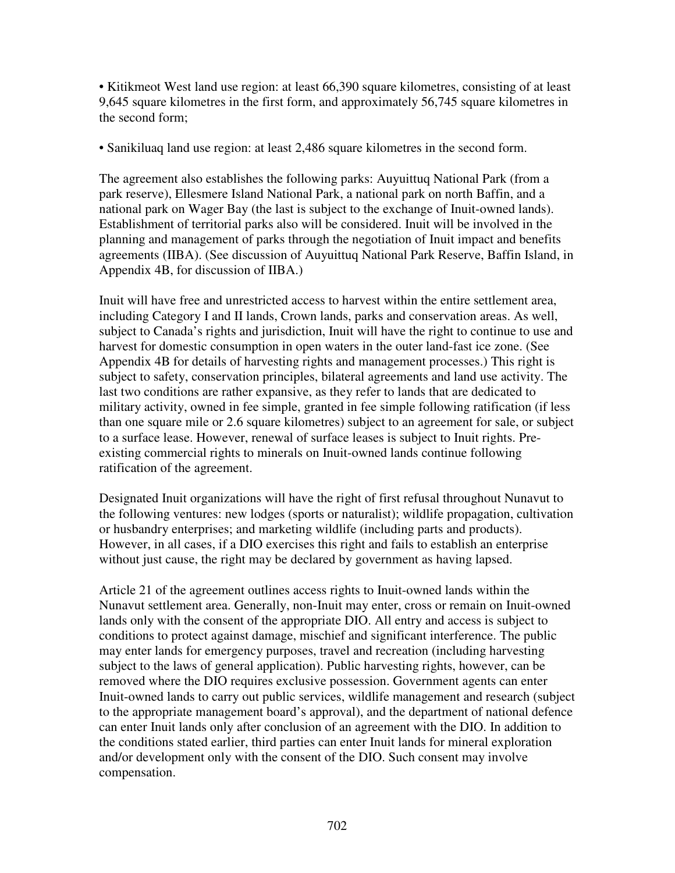• Kitikmeot West land use region: at least 66,390 square kilometres, consisting of at least 9,645 square kilometres in the first form, and approximately 56,745 square kilometres in the second form;

• Sanikiluaq land use region: at least 2,486 square kilometres in the second form.

The agreement also establishes the following parks: Auyuittuq National Park (from a park reserve), Ellesmere Island National Park, a national park on north Baffin, and a national park on Wager Bay (the last is subject to the exchange of Inuit-owned lands). Establishment of territorial parks also will be considered. Inuit will be involved in the planning and management of parks through the negotiation of Inuit impact and benefits agreements (IIBA). (See discussion of Auyuittuq National Park Reserve, Baffin Island, in Appendix 4B, for discussion of IIBA.)

Inuit will have free and unrestricted access to harvest within the entire settlement area, including Category I and II lands, Crown lands, parks and conservation areas. As well, subject to Canada's rights and jurisdiction, Inuit will have the right to continue to use and harvest for domestic consumption in open waters in the outer land-fast ice zone. (See Appendix 4B for details of harvesting rights and management processes.) This right is subject to safety, conservation principles, bilateral agreements and land use activity. The last two conditions are rather expansive, as they refer to lands that are dedicated to military activity, owned in fee simple, granted in fee simple following ratification (if less than one square mile or 2.6 square kilometres) subject to an agreement for sale, or subject to a surface lease. However, renewal of surface leases is subject to Inuit rights. Preexisting commercial rights to minerals on Inuit-owned lands continue following ratification of the agreement.

Designated Inuit organizations will have the right of first refusal throughout Nunavut to the following ventures: new lodges (sports or naturalist); wildlife propagation, cultivation or husbandry enterprises; and marketing wildlife (including parts and products). However, in all cases, if a DIO exercises this right and fails to establish an enterprise without just cause, the right may be declared by government as having lapsed.

Article 21 of the agreement outlines access rights to Inuit-owned lands within the Nunavut settlement area. Generally, non-Inuit may enter, cross or remain on Inuit-owned lands only with the consent of the appropriate DIO. All entry and access is subject to conditions to protect against damage, mischief and significant interference. The public may enter lands for emergency purposes, travel and recreation (including harvesting subject to the laws of general application). Public harvesting rights, however, can be removed where the DIO requires exclusive possession. Government agents can enter Inuit-owned lands to carry out public services, wildlife management and research (subject to the appropriate management board's approval), and the department of national defence can enter Inuit lands only after conclusion of an agreement with the DIO. In addition to the conditions stated earlier, third parties can enter Inuit lands for mineral exploration and/or development only with the consent of the DIO. Such consent may involve compensation.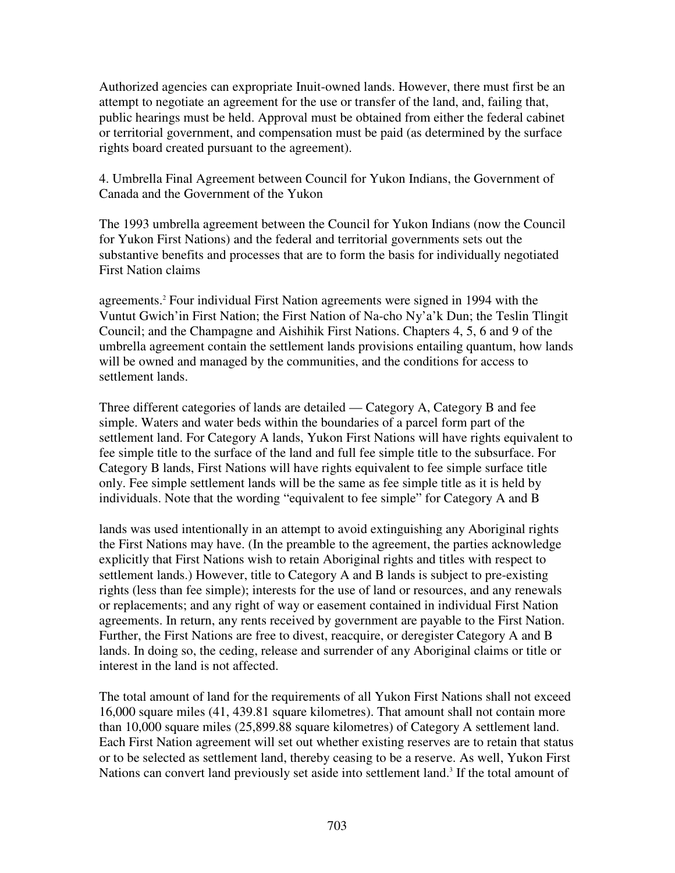Authorized agencies can expropriate Inuit-owned lands. However, there must first be an attempt to negotiate an agreement for the use or transfer of the land, and, failing that, public hearings must be held. Approval must be obtained from either the federal cabinet or territorial government, and compensation must be paid (as determined by the surface rights board created pursuant to the agreement).

4. Umbrella Final Agreement between Council for Yukon Indians, the Government of Canada and the Government of the Yukon

The 1993 umbrella agreement between the Council for Yukon Indians (now the Council for Yukon First Nations) and the federal and territorial governments sets out the substantive benefits and processes that are to form the basis for individually negotiated First Nation claims

agreements. <sup>2</sup> Four individual First Nation agreements were signed in 1994 with the Vuntut Gwich'in First Nation; the First Nation of Na-cho Ny'a'k Dun; the Teslin Tlingit Council; and the Champagne and Aishihik First Nations. Chapters 4, 5, 6 and 9 of the umbrella agreement contain the settlement lands provisions entailing quantum, how lands will be owned and managed by the communities, and the conditions for access to settlement lands.

Three different categories of lands are detailed — Category A, Category B and fee simple. Waters and water beds within the boundaries of a parcel form part of the settlement land. For Category A lands, Yukon First Nations will have rights equivalent to fee simple title to the surface of the land and full fee simple title to the subsurface. For Category B lands, First Nations will have rights equivalent to fee simple surface title only. Fee simple settlement lands will be the same as fee simple title as it is held by individuals. Note that the wording "equivalent to fee simple" for Category A and B

lands was used intentionally in an attempt to avoid extinguishing any Aboriginal rights the First Nations may have. (In the preamble to the agreement, the parties acknowledge explicitly that First Nations wish to retain Aboriginal rights and titles with respect to settlement lands.) However, title to Category A and B lands is subject to pre-existing rights (less than fee simple); interests for the use of land or resources, and any renewals or replacements; and any right of way or easement contained in individual First Nation agreements. In return, any rents received by government are payable to the First Nation. Further, the First Nations are free to divest, reacquire, or deregister Category A and B lands. In doing so, the ceding, release and surrender of any Aboriginal claims or title or interest in the land is not affected.

The total amount of land for the requirements of all Yukon First Nations shall not exceed 16,000 square miles (41, 439.81 square kilometres). That amount shall not contain more than 10,000 square miles (25,899.88 square kilometres) of Category A settlement land. Each First Nation agreement will set out whether existing reserves are to retain that status or to be selected as settlement land, thereby ceasing to be a reserve. As well, Yukon First Nations can convert land previously set aside into settlement land.<sup>3</sup> If the total amount of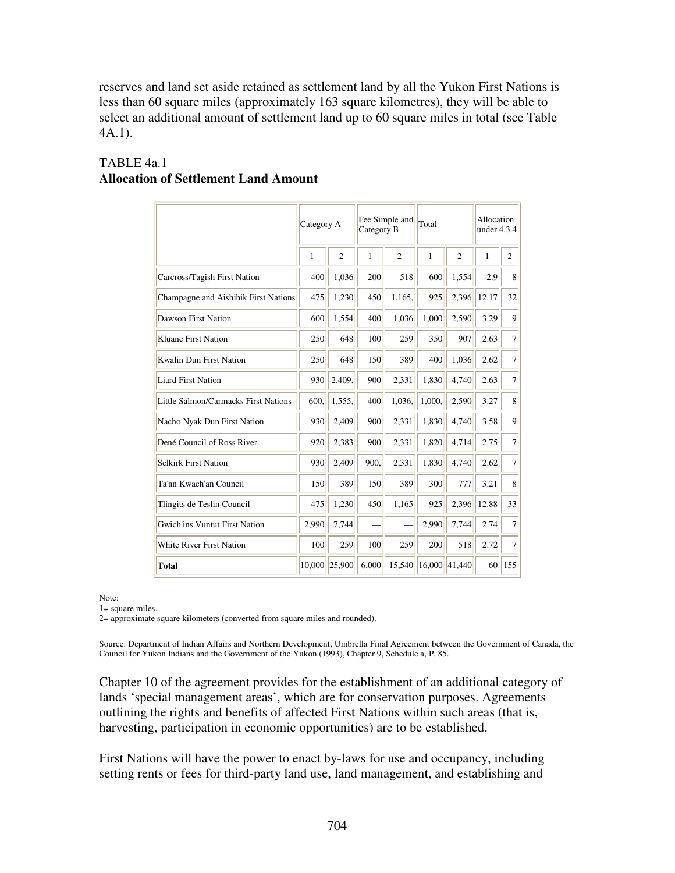reserves and land set aside retained as settlement land by all the Yukon First Nations is less than 60 square miles (approximately 163 square kilometres), they will be able to select an additional amount of settlement land up to 60 square miles in total (see Table 4A.1).

|                                      | Category A |                | Fee Simple and<br>Category B |                | Total  |                | Allocation<br>under $4.3.4$ |                |
|--------------------------------------|------------|----------------|------------------------------|----------------|--------|----------------|-----------------------------|----------------|
|                                      | 1          | $\overline{2}$ | 1                            | $\overline{2}$ | 1      | $\overline{c}$ | $\mathbf{1}$                | $\overline{c}$ |
| Carcross/Tagish First Nation         | 400        | 1,036          | 200                          | 518            | 600    | 1,554          | 2.9                         | 8              |
| Champagne and Aishihik First Nations | 475        | 1,230          | 450                          | 1,165,         | 925    | 2,396          | 12.17                       | 32             |
| Dawson First Nation                  | 600        | 1,554          | 400                          | 1,036          | 1,000  | 2,590          | 3.29                        | 9              |
| Kluane First Nation                  | 250        | 648            | 100                          | 259            | 350    | 907            | 2.63                        | $\tau$         |
| Kwalin Dun First Nation              | 250        | 648            | 150                          | 389            | 400    | 1,036          | 2.62                        | $\overline{7}$ |
| <b>Liard First Nation</b>            | 930        | 2,409,         | 900                          | 2,331          | 1,830  | 4,740          | 2.63                        | $\overline{7}$ |
| Little Salmon/Carmacks First Nations | 600.       | 1,555,         | 400                          | 1,036,         | 1,000, | 2,590          | 3.27                        | 8              |
| Nacho Nyak Dun First Nation          | 930        | 2,409          | 900                          | 2,331          | 1,830  | 4,740          | 3.58                        | 9              |
| Dené Council of Ross River           | 920        | 2,383          | 900                          | 2,331          | 1,820  | 4,714          | 2.75                        | $\overline{7}$ |
| <b>Selkirk First Nation</b>          | 930        | 2,409          | 900.                         | 2,331          | 1,830  | 4,740          | 2.62                        | $\overline{7}$ |
| Ta'an Kwach'an Council               | 150        | 389            | 150                          | 389            | 300    | 777            | 3.21                        | 8              |
| Tlingits de Teslin Council           | 475        | 1,230          | 450                          | 1,165          | 925    | 2,396          | 12.88                       | 33             |
| <b>Gwich'ins Vuntut First Nation</b> | 2,990      | 7,744          |                              |                | 2,990  | 7,744          | 2.74                        | 7              |
| <b>White River First Nation</b>      | 100        | 259            | 100                          | 259            | 200    | 518            | 2.72                        | $\overline{7}$ |
| <b>Total</b>                         |            | 10,000 25,900  | 6,000                        | 15,540         | 16,000 | 41,440         | 60                          | 155            |

## TABLE 4a.1 **Allocation of Settlement Land Amount**

Note:

1= square miles.

2= approximate square kilometers (converted from square miles and rounded).

Source: Department of Indian Affairs and Northern Development, Umbrella Final Agreement between the Government of Canada, the Council for Yukon Indians and the Government of the Yukon (1993), Chapter 9, Schedule a, P. 85.

Chapter 10 of the agreement provides for the establishment of an additional category of lands 'special management areas', which are for conservation purposes. Agreements outlining the rights and benefits of affected First Nations within such areas (that is, harvesting, participation in economic opportunities) are to be established.

First Nations will have the power to enact by-laws for use and occupancy, including setting rents or fees for third-party land use, land management, and establishing and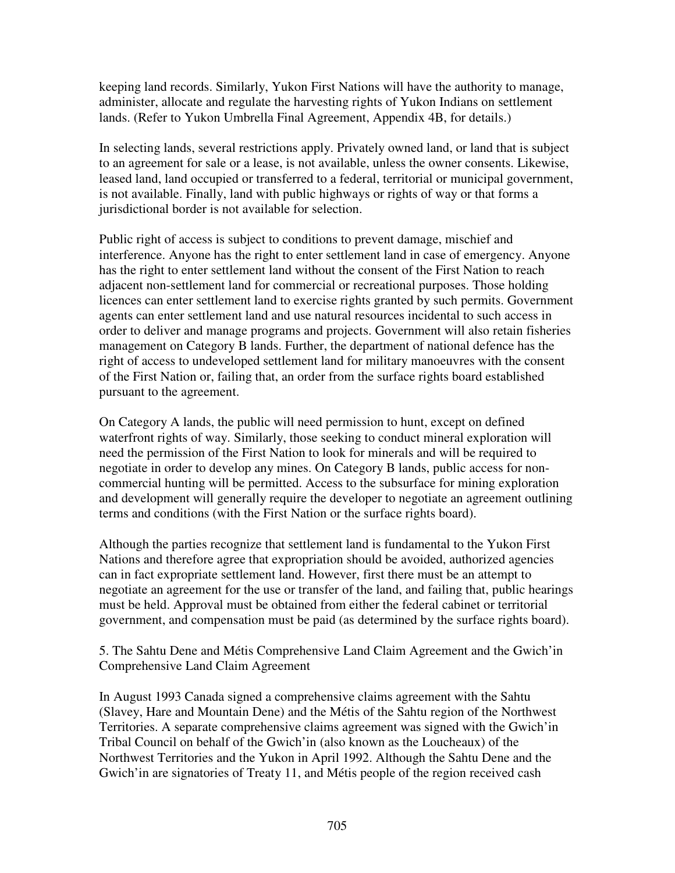keeping land records. Similarly, Yukon First Nations will have the authority to manage, administer, allocate and regulate the harvesting rights of Yukon Indians on settlement lands. (Refer to Yukon Umbrella Final Agreement, Appendix 4B, for details.)

In selecting lands, several restrictions apply. Privately owned land, or land that is subject to an agreement for sale or a lease, is not available, unless the owner consents. Likewise, leased land, land occupied or transferred to a federal, territorial or municipal government, is not available. Finally, land with public highways or rights of way or that forms a jurisdictional border is not available for selection.

Public right of access is subject to conditions to prevent damage, mischief and interference. Anyone has the right to enter settlement land in case of emergency. Anyone has the right to enter settlement land without the consent of the First Nation to reach adjacent non-settlement land for commercial or recreational purposes. Those holding licences can enter settlement land to exercise rights granted by such permits. Government agents can enter settlement land and use natural resources incidental to such access in order to deliver and manage programs and projects. Government will also retain fisheries management on Category B lands. Further, the department of national defence has the right of access to undeveloped settlement land for military manoeuvres with the consent of the First Nation or, failing that, an order from the surface rights board established pursuant to the agreement.

On Category A lands, the public will need permission to hunt, except on defined waterfront rights of way. Similarly, those seeking to conduct mineral exploration will need the permission of the First Nation to look for minerals and will be required to negotiate in order to develop any mines. On Category B lands, public access for noncommercial hunting will be permitted. Access to the subsurface for mining exploration and development will generally require the developer to negotiate an agreement outlining terms and conditions (with the First Nation or the surface rights board).

Although the parties recognize that settlement land is fundamental to the Yukon First Nations and therefore agree that expropriation should be avoided, authorized agencies can in fact expropriate settlement land. However, first there must be an attempt to negotiate an agreement for the use or transfer of the land, and failing that, public hearings must be held. Approval must be obtained from either the federal cabinet or territorial government, and compensation must be paid (as determined by the surface rights board).

5. The Sahtu Dene and Métis Comprehensive Land Claim Agreement and the Gwich'in Comprehensive Land Claim Agreement

In August 1993 Canada signed a comprehensive claims agreement with the Sahtu (Slavey, Hare and Mountain Dene) and the Métis of the Sahtu region of the Northwest Territories. A separate comprehensive claims agreement was signed with the Gwich'in Tribal Council on behalf of the Gwich'in (also known as the Loucheaux) of the Northwest Territories and the Yukon in April 1992. Although the Sahtu Dene and the Gwich'in are signatories of Treaty 11, and Métis people of the region received cash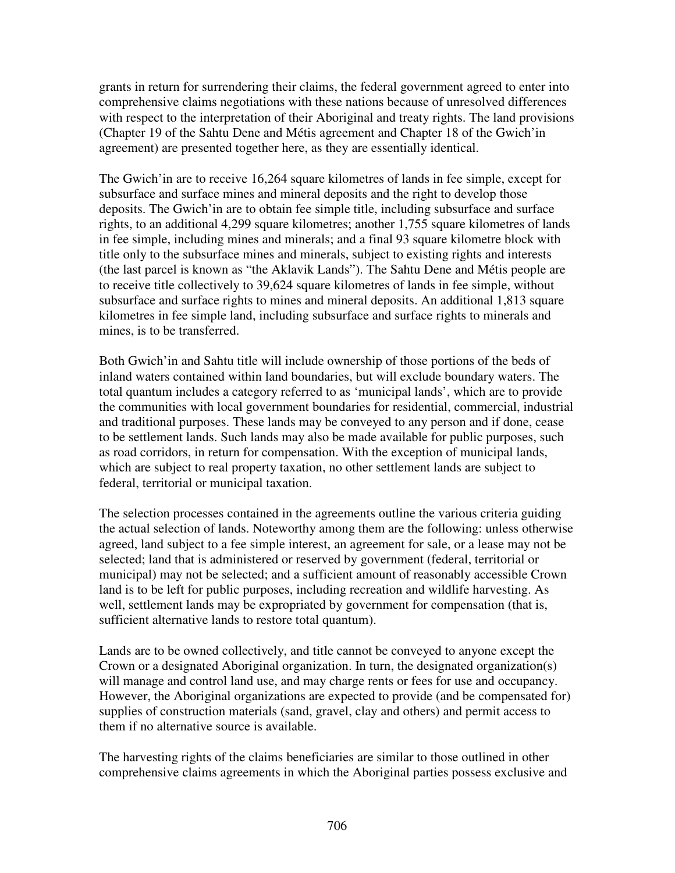grants in return for surrendering their claims, the federal government agreed to enter into comprehensive claims negotiations with these nations because of unresolved differences with respect to the interpretation of their Aboriginal and treaty rights. The land provisions (Chapter 19 of the Sahtu Dene and Métis agreement and Chapter 18 of the Gwich'in agreement) are presented together here, as they are essentially identical.

The Gwich'in are to receive 16,264 square kilometres of lands in fee simple, except for subsurface and surface mines and mineral deposits and the right to develop those deposits. The Gwich'in are to obtain fee simple title, including subsurface and surface rights, to an additional 4,299 square kilometres; another 1,755 square kilometres of lands in fee simple, including mines and minerals; and a final 93 square kilometre block with title only to the subsurface mines and minerals, subject to existing rights and interests (the last parcel is known as "the Aklavik Lands"). The Sahtu Dene and Métis people are to receive title collectively to 39,624 square kilometres of lands in fee simple, without subsurface and surface rights to mines and mineral deposits. An additional 1,813 square kilometres in fee simple land, including subsurface and surface rights to minerals and mines, is to be transferred.

Both Gwich'in and Sahtu title will include ownership of those portions of the beds of inland waters contained within land boundaries, but will exclude boundary waters. The total quantum includes a category referred to as 'municipal lands', which are to provide the communities with local government boundaries for residential, commercial, industrial and traditional purposes. These lands may be conveyed to any person and if done, cease to be settlement lands. Such lands may also be made available for public purposes, such as road corridors, in return for compensation. With the exception of municipal lands, which are subject to real property taxation, no other settlement lands are subject to federal, territorial or municipal taxation.

The selection processes contained in the agreements outline the various criteria guiding the actual selection of lands. Noteworthy among them are the following: unless otherwise agreed, land subject to a fee simple interest, an agreement for sale, or a lease may not be selected; land that is administered or reserved by government (federal, territorial or municipal) may not be selected; and a sufficient amount of reasonably accessible Crown land is to be left for public purposes, including recreation and wildlife harvesting. As well, settlement lands may be expropriated by government for compensation (that is, sufficient alternative lands to restore total quantum).

Lands are to be owned collectively, and title cannot be conveyed to anyone except the Crown or a designated Aboriginal organization. In turn, the designated organization(s) will manage and control land use, and may charge rents or fees for use and occupancy. However, the Aboriginal organizations are expected to provide (and be compensated for) supplies of construction materials (sand, gravel, clay and others) and permit access to them if no alternative source is available.

The harvesting rights of the claims beneficiaries are similar to those outlined in other comprehensive claims agreements in which the Aboriginal parties possess exclusive and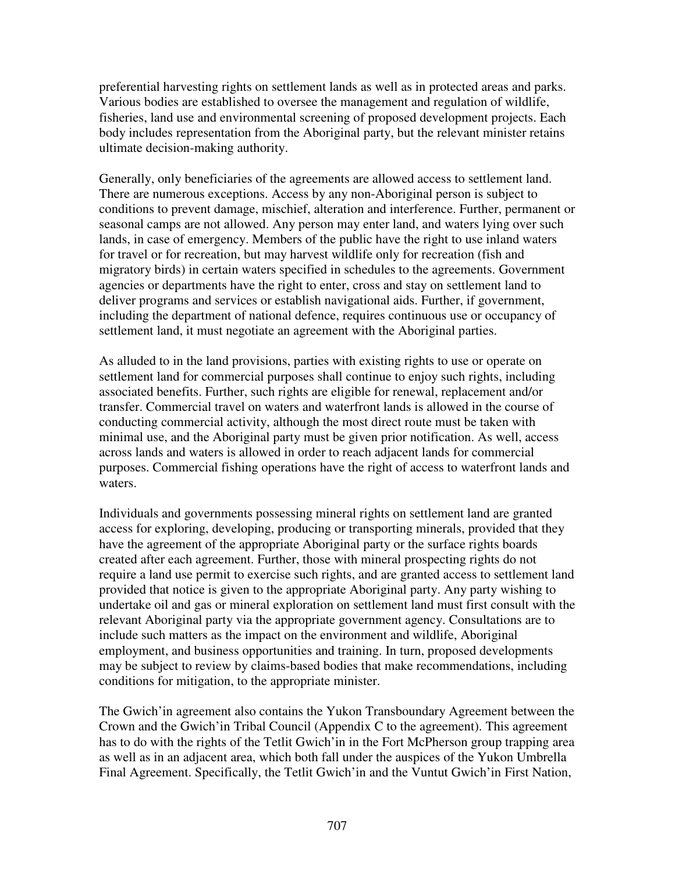preferential harvesting rights on settlement lands as well as in protected areas and parks. Various bodies are established to oversee the management and regulation of wildlife, fisheries, land use and environmental screening of proposed development projects. Each body includes representation from the Aboriginal party, but the relevant minister retains ultimate decision-making authority.

Generally, only beneficiaries of the agreements are allowed access to settlement land. There are numerous exceptions. Access by any non-Aboriginal person is subject to conditions to prevent damage, mischief, alteration and interference. Further, permanent or seasonal camps are not allowed. Any person may enter land, and waters lying over such lands, in case of emergency. Members of the public have the right to use inland waters for travel or for recreation, but may harvest wildlife only for recreation (fish and migratory birds) in certain waters specified in schedules to the agreements. Government agencies or departments have the right to enter, cross and stay on settlement land to deliver programs and services or establish navigational aids. Further, if government, including the department of national defence, requires continuous use or occupancy of settlement land, it must negotiate an agreement with the Aboriginal parties.

As alluded to in the land provisions, parties with existing rights to use or operate on settlement land for commercial purposes shall continue to enjoy such rights, including associated benefits. Further, such rights are eligible for renewal, replacement and/or transfer. Commercial travel on waters and waterfront lands is allowed in the course of conducting commercial activity, although the most direct route must be taken with minimal use, and the Aboriginal party must be given prior notification. As well, access across lands and waters is allowed in order to reach adjacent lands for commercial purposes. Commercial fishing operations have the right of access to waterfront lands and waters.

Individuals and governments possessing mineral rights on settlement land are granted access for exploring, developing, producing or transporting minerals, provided that they have the agreement of the appropriate Aboriginal party or the surface rights boards created after each agreement. Further, those with mineral prospecting rights do not require a land use permit to exercise such rights, and are granted access to settlement land provided that notice is given to the appropriate Aboriginal party. Any party wishing to undertake oil and gas or mineral exploration on settlement land must first consult with the relevant Aboriginal party via the appropriate government agency. Consultations are to include such matters as the impact on the environment and wildlife, Aboriginal employment, and business opportunities and training. In turn, proposed developments may be subject to review by claims-based bodies that make recommendations, including conditions for mitigation, to the appropriate minister.

The Gwich'in agreement also contains the Yukon Transboundary Agreement between the Crown and the Gwich'in Tribal Council (Appendix C to the agreement). This agreement has to do with the rights of the Tetlit Gwich'in in the Fort McPherson group trapping area as well as in an adjacent area, which both fall under the auspices of the Yukon Umbrella Final Agreement. Specifically, the Tetlit Gwich'in and the Vuntut Gwich'in First Nation,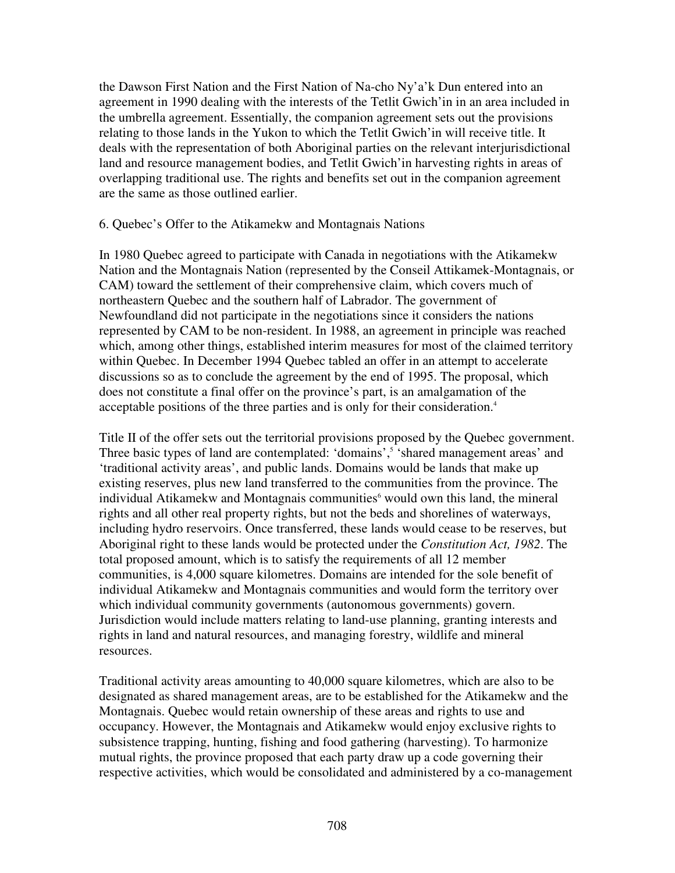the Dawson First Nation and the First Nation of Na-cho Ny'a'k Dun entered into an agreement in 1990 dealing with the interests of the Tetlit Gwich'in in an area included in the umbrella agreement. Essentially, the companion agreement sets out the provisions relating to those lands in the Yukon to which the Tetlit Gwich'in will receive title. It deals with the representation of both Aboriginal parties on the relevant interjurisdictional land and resource management bodies, and Tetlit Gwich'in harvesting rights in areas of overlapping traditional use. The rights and benefits set out in the companion agreement are the same as those outlined earlier.

#### 6. Quebec's Offer to the Atikamekw and Montagnais Nations

In 1980 Quebec agreed to participate with Canada in negotiations with the Atikamekw Nation and the Montagnais Nation (represented by the Conseil Attikamek-Montagnais, or CAM) toward the settlement of their comprehensive claim, which covers much of northeastern Quebec and the southern half of Labrador. The government of Newfoundland did not participate in the negotiations since it considers the nations represented by CAM to be non-resident. In 1988, an agreement in principle was reached which, among other things, established interim measures for most of the claimed territory within Quebec. In December 1994 Quebec tabled an offer in an attempt to accelerate discussions so as to conclude the agreement by the end of 1995. The proposal, which does not constitute a final offer on the province's part, is an amalgamation of the acceptable positions of the three parties and is only for their consideration. 4

Title II of the offer sets out the territorial provisions proposed by the Quebec government. Three basic types of land are contemplated: 'domains',<sup>5</sup> 'shared management areas' and 'traditional activity areas', and public lands. Domains would be lands that make up existing reserves, plus new land transferred to the communities from the province. The individual Atikamekw and Montagnais communities <sup>6</sup> would own this land, the mineral rights and all other real property rights, but not the beds and shorelines of waterways, including hydro reservoirs. Once transferred, these lands would cease to be reserves, but Aboriginal right to these lands would be protected under the *Constitution Act, 1982*. The total proposed amount, which is to satisfy the requirements of all 12 member communities, is 4,000 square kilometres. Domains are intended for the sole benefit of individual Atikamekw and Montagnais communities and would form the territory over which individual community governments (autonomous governments) govern. Jurisdiction would include matters relating to land-use planning, granting interests and rights in land and natural resources, and managing forestry, wildlife and mineral resources.

Traditional activity areas amounting to 40,000 square kilometres, which are also to be designated as shared management areas, are to be established for the Atikamekw and the Montagnais. Quebec would retain ownership of these areas and rights to use and occupancy. However, the Montagnais and Atikamekw would enjoy exclusive rights to subsistence trapping, hunting, fishing and food gathering (harvesting). To harmonize mutual rights, the province proposed that each party draw up a code governing their respective activities, which would be consolidated and administered by a co-management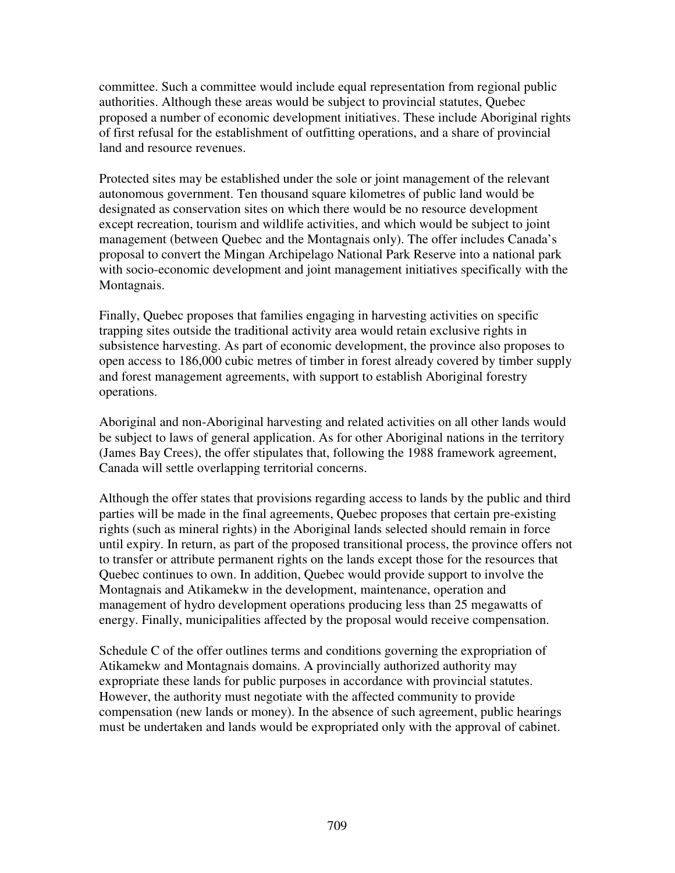committee. Such a committee would include equal representation from regional public authorities. Although these areas would be subject to provincial statutes, Quebec proposed a number of economic development initiatives. These include Aboriginal rights of first refusal for the establishment of outfitting operations, and a share of provincial land and resource revenues.

Protected sites may be established under the sole or joint management of the relevant autonomous government. Ten thousand square kilometres of public land would be designated as conservation sites on which there would be no resource development except recreation, tourism and wildlife activities, and which would be subject to joint management (between Quebec and the Montagnais only). The offer includes Canada's proposal to convert the Mingan Archipelago National Park Reserve into a national park with socio-economic development and joint management initiatives specifically with the Montagnais.

Finally, Quebec proposes that families engaging in harvesting activities on specific trapping sites outside the traditional activity area would retain exclusive rights in subsistence harvesting. As part of economic development, the province also proposes to open access to 186,000 cubic metres of timber in forest already covered by timber supply and forest management agreements, with support to establish Aboriginal forestry operations.

Aboriginal and non-Aboriginal harvesting and related activities on all other lands would be subject to laws of general application. As for other Aboriginal nations in the territory (James Bay Crees), the offer stipulates that, following the 1988 framework agreement, Canada will settle overlapping territorial concerns.

Although the offer states that provisions regarding access to lands by the public and third parties will be made in the final agreements, Quebec proposes that certain pre-existing rights (such as mineral rights) in the Aboriginal lands selected should remain in force until expiry. In return, as part of the proposed transitional process, the province offers not to transfer or attribute permanent rights on the lands except those for the resources that Quebec continues to own. In addition, Quebec would provide support to involve the Montagnais and Atikamekw in the development, maintenance, operation and management of hydro development operations producing less than 25 megawatts of energy. Finally, municipalities affected by the proposal would receive compensation.

Schedule C of the offer outlines terms and conditions governing the expropriation of Atikamekw and Montagnais domains. A provincially authorized authority may expropriate these lands for public purposes in accordance with provincial statutes. However, the authority must negotiate with the affected community to provide compensation (new lands or money). In the absence of such agreement, public hearings must be undertaken and lands would be expropriated only with the approval of cabinet.